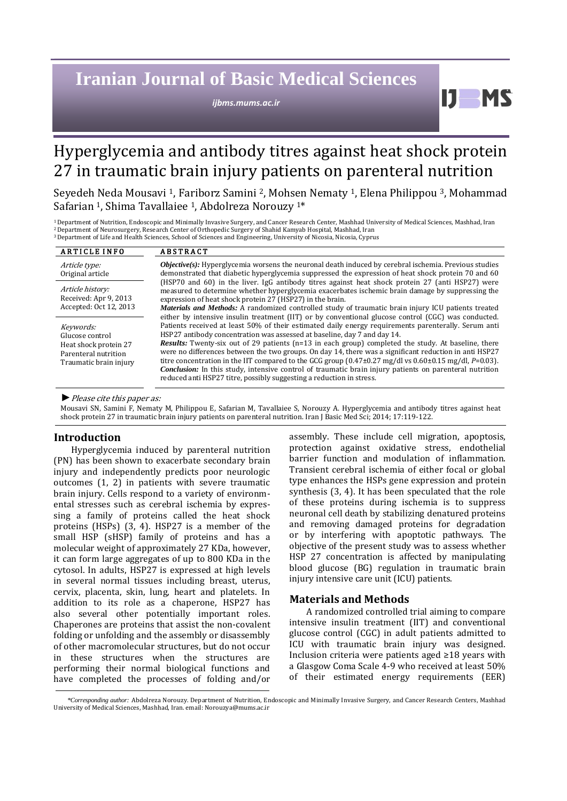# **Iranian Journal of Basic Medical Sciences**

*ijbms.mums.ac.ir*

## Hyperglycemia and antibody titres against heat shock protein 27 in traumatic brain injury patients on parenteral nutrition

Seyedeh Neda Mousavi <sup>1</sup>, Fariborz Samini 2, Mohsen Nematy 1, Elena Philippou 3, Mohammad Safarian 1, Shima Tavallaiee 1, Abdolreza Norouzy 1\*

<sup>1</sup>Department of Nutrition, Endoscopic and Minimally Invasive Surgery, and Cancer Research Center, Mashhad University of Medical Sciences, Mashhad, Iran <sup>2</sup>Department of Neurosurgery, Research Center of Orthopedic Surgery of Shahid Kamyab Hospital, Mashhad, Iran <sup>3</sup>Department of Life and Health Sciences, School of Sciences and Engineering, University of Nicosia, Nicosia, Cyprus

| <b>ARTICLE INFO</b>                                                                                     | <b>ABSTRACT</b>                                                                                                                                                                                                                                                                                                                                                                                                                                                                                                                                                                                                                                                                                                                                                                                                                      |
|---------------------------------------------------------------------------------------------------------|--------------------------------------------------------------------------------------------------------------------------------------------------------------------------------------------------------------------------------------------------------------------------------------------------------------------------------------------------------------------------------------------------------------------------------------------------------------------------------------------------------------------------------------------------------------------------------------------------------------------------------------------------------------------------------------------------------------------------------------------------------------------------------------------------------------------------------------|
| Article type:<br>Original article                                                                       | $Objective(s)$ : Hyperglycemia worsens the neuronal death induced by cerebral ischemia. Previous studies<br>demonstrated that diabetic hyperglycemia suppressed the expression of heat shock protein 70 and 60                                                                                                                                                                                                                                                                                                                                                                                                                                                                                                                                                                                                                       |
| Article history:<br>Received: Apr 9, 2013<br>Accepted: Oct 12, 2013                                     | (HSP70 and 60) in the liver. IgG antibody titres against heat shock protein 27 (anti HSP27) were<br>measured to determine whether hyperglycemia exacerbates ischemic brain damage by suppressing the<br>expression of heat shock protein 27 (HSP27) in the brain.<br>Materials and Methods: A randomized controlled study of traumatic brain injury ICU patients treated                                                                                                                                                                                                                                                                                                                                                                                                                                                             |
| Keywords:<br>Glucose control<br>Heat shock protein 27<br>Parenteral nutrition<br>Traumatic brain injury | either by intensive insulin treatment (IIT) or by conventional glucose control (CGC) was conducted.<br>Patients received at least 50% of their estimated daily energy requirements parenterally. Serum anti<br>HSP27 antibody concentration was assessed at baseline, day 7 and day 14.<br>Results: Twenty-six out of 29 patients (n=13 in each group) completed the study. At baseline, there<br>were no differences between the two groups. On day 14, there was a significant reduction in anti HSP27<br>titre concentration in the IIT compared to the GCG group $(0.47\pm0.27 \text{ mg/dl vs } 0.60\pm0.15 \text{ mg/dl}, P=0.03)$ .<br><b>Conclusion:</b> In this study, intensive control of traumatic brain injury patients on parenteral nutrition<br>reduced anti HSP27 titre, possibly suggesting a reduction in stress. |

*►*Please cite this paper as:

Mousavi SN, Samini F, Nematy M, Philippou E, Safarian M, Tavallaiee S, Norouzy A. Hyperglycemia and antibody titres against heat shock protein 27 in traumatic brain injury patients on parenteral nutrition. Iran J Basic Med Sci; 2014; 17:119-122.

#### **Introduction**

Hyperglycemia induced by parenteral nutrition (PN) has been shown to exacerbate secondary brain injury and independently predicts poor neurologic outcomes (1, 2) in patients with severe traumatic brain injury. Cells respond to a variety of environmental stresses such as cerebral ischemia by expressing a family of proteins called the heat shock proteins (HSPs) (3, 4). HSP27 is a member of the small HSP (sHSP) family of proteins and has a molecular weight of approximately 27 KDa, however, it can form large aggregates of up to 800 KDa in the cytosol. In adults, HSP27 is expressed at high levels in several normal tissues including breast, uterus, cervix, placenta, skin, lung, heart and platelets. In addition to its role as a chaperone, HSP27 has also several other potentially important roles. Chaperones are proteins that assist the non-covalent folding or unfolding and the assembly or disassembly of other macromolecular structures, but do not occur in these structures when the structures are performing their normal biological functions and have completed the processes of folding and/or assembly. These include cell migration, apoptosis, protection against oxidative stress, endothelial barrier function and modulation of inflammation. Transient cerebral ischemia of either focal or global type enhances the HSPs gene expression and protein synthesis (3, 4). It has been speculated that the role of these proteins during ischemia is to suppress neuronal cell death by stabilizing denatured proteins and removing damaged proteins for degradation or by interfering with apoptotic pathways. The objective of the present study was to assess whether HSP 27 concentration is affected by manipulating blood glucose (BG) regulation in traumatic brain injury intensive care unit (ICU) patients.

H

#### **Materials and Methods**

A randomized controlled trial aiming to compare intensive insulin treatment (IIT) and conventional glucose control (CGC) in adult patients admitted to ICU with traumatic brain injury was designed. Inclusion criteria were patients aged ≥18 years with a Glasgow Coma Scale 4-9 who received at least 50% of their estimated energy requirements (EER)

*<sup>\*</sup>Corresponding author:* Abdolreza Norouzy. Department of Nutrition, Endoscopic and Minimally Invasive Surgery, and Cancer Research Centers, Mashhad University of Medical Sciences, Mashhad, Iran. email[: Norouzya@mums.ac.ir](mailto:Norouzya@mums.ac.ir)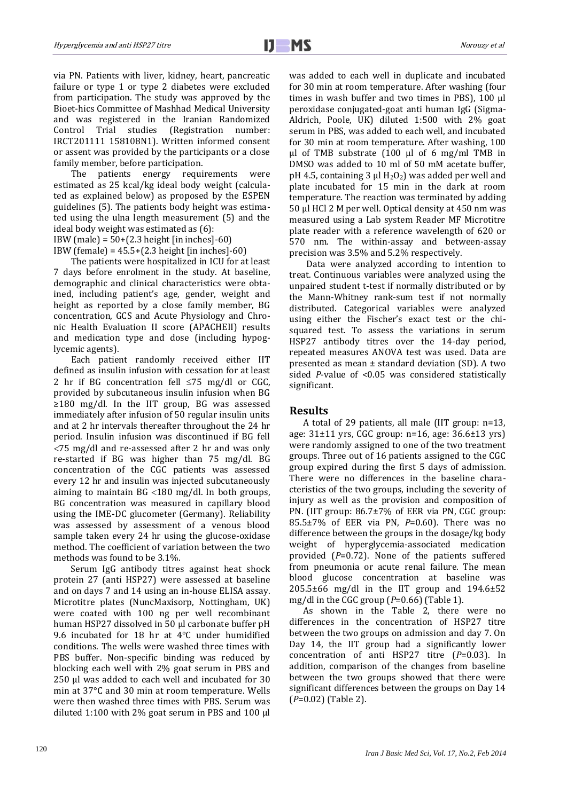via PN. Patients with liver, kidney, heart, pancreatic failure or type 1 or type 2 diabetes were excluded from participation. The study was approved by the Bioet-hics Committee of Mashhad Medical University and was registered in the Iranian Randomized Control Trial studies (Registration number: IRCT201111 158108N1). Written informed consent or assent was provided by the participants or a close family member, before participation.

The patients energy requirements were estimated as 25 kcal/kg ideal body weight (calculated as explained below) as proposed by the ESPEN guidelines (5). The patients body height was estimated using the ulna length measurement (5) and the ideal body weight was estimated as (6):

IBW (male) =  $50+(2.3 \text{ height} \text{ [in inches]}-60)$ 

IBW (female) =  $45.5+(2.3 \text{ height}$  [in inches]-60)

The patients were hospitalized in ICU for at least 7 days before enrolment in the study. At baseline, demographic and clinical characteristics were obtained, including patient's age, gender, weight and height as reported by a close family member, BG concentration, GCS and Acute Physiology and Chronic Health Evaluation II score (APACHEII) results and medication type and dose (including hypoglycemic agents).

Each patient randomly received either IIT defined as insulin infusion with cessation for at least 2 hr if BG concentration fell  $\leq 75$  mg/dl or CGC. provided by subcutaneous insulin infusion when BG ≥180 mg/dl. In the IIT group, BG was assessed immediately after infusion of 50 regular insulin units and at 2 hr intervals thereafter throughout the 24 hr period. Insulin infusion was discontinued if BG fell 75 mg/dl and re-assessed after 2 hr and was only re-started if BG was higher than 75 mg/dl. BG concentration of the CGC patients was assessed every 12 hr and insulin was injected subcutaneously aiming to maintain  $BG < 180$  mg/dl. In both groups, BG concentration was measured in capillary blood using the IME-DC glucometer (Germany). Reliability was assessed by assessment of a venous blood sample taken every 24 hr using the glucose-oxidase method. The coefficient of variation between the two methods was found to be 3.1%.

Serum IgG antibody titres against heat shock protein 27 (anti HSP27) were assessed at baseline and on days 7 and 14 using an in-house ELISA assay. Microtitre plates (NuncMaxisorp, Nottingham, UK) were coated with 100 ng per well recombinant human HSP27 dissolved in 50 µl carbonate buffer pH 9.6 incubated for 18 hr at 4°C under humidified conditions. The wells were washed three times with PBS buffer. Non-specific binding was reduced by blocking each well with 2% goat serum in PBS and 250 µl was added to each well and incubated for 30 min at 37°C and 30 min at room temperature. Wells were then washed three times with PBS. Serum was diluted 1:100 with 2% goat serum in PBS and 100 µl was added to each well in duplicate and incubated for 30 min at room temperature. After washing (four times in wash buffer and two times in PBS), 100 µl peroxidase conjugated-goat anti human IgG (Sigma-Aldrich, Poole, UK) diluted 1:500 with 2% goat serum in PBS, was added to each well, and incubated for 30 min at room temperature. After washing, 100 µl of TMB substrate (100 µl of 6 mg/ml TMB in DMSO was added to 10 ml of 50 mM acetate buffer, pH 4.5, containing 3  $\mu$ l H<sub>2</sub>O<sub>2</sub>) was added per well and plate incubated for 15 min in the dark at room temperature. The reaction was terminated by adding 50 µl HCl 2 M per well. Optical density at 450 nm was measured using a Lab system Reader MF Microtitre plate reader with a reference wavelength of 620 or 570 nm. The within-assay and between-assay precision was 3.5% and 5.2% respectively.

Data were analyzed according to intention to treat. Continuous variables were analyzed using the unpaired student t-test if normally distributed or by the Mann-Whitney rank-sum test if not normally distributed. Categorical variables were analyzed using either the Fischer's exact test or the chisquared test. To assess the variations in serum HSP27 antibody titres over the 14-day period, repeated measures ANOVA test was used. Data are presented as mean ± standard deviation (SD). A two sided *P*-value of <0.05 was considered statistically significant.

#### **Results**

A total of 29 patients, all male (IIT group: n=13, age: 31±11 yrs, CGC group: n=16, age: 36.6±13 yrs) were randomly assigned to one of the two treatment groups. Three out of 16 patients assigned to the CGC group expired during the first 5 days of admission. There were no differences in the baseline characteristics of the two groups, including the severity of injury as well as the provision and composition of PN. (IIT group: 86.7±7% of EER via PN, CGC group: 85.5±7% of EER via PN, *P*=0.60). There was no difference between the groups in the dosage/kg body weight of hyperglycemia-associated medication provided (*P*=0.72). None of the patients suffered from pneumonia or acute renal failure. The mean blood glucose concentration at baseline was 205.5±66 mg/dl in the IIT group and 194.6±52 mg/dl in the CGC group (*P*=0.66) (Table 1).

As shown in the Table 2, there were no differences in the concentration of HSP27 titre between the two groups on admission and day 7. On Day 14, the IIT group had a significantly lower concentration of anti HSP27 titre (*P*=0.03). In addition, comparison of the changes from baseline between the two groups showed that there were significant differences between the groups on Day 14 (*P*=0.02) (Table 2).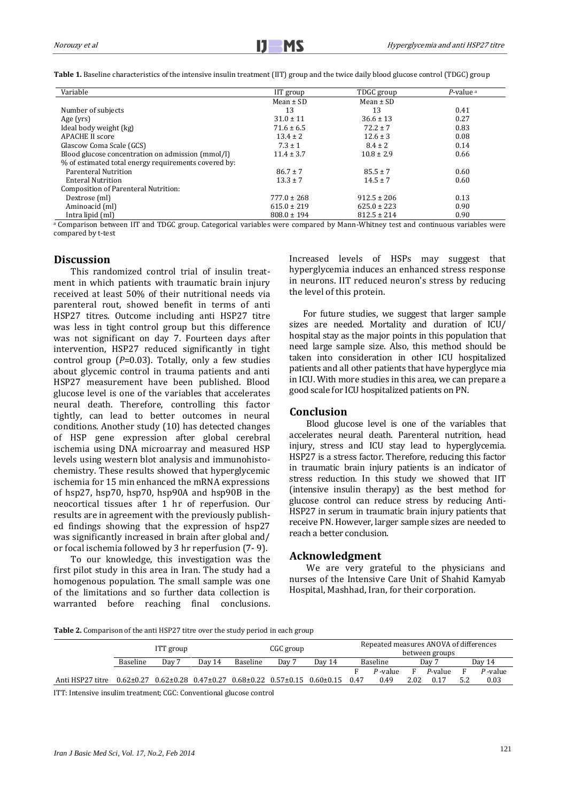Table 1. Baseline characteristics of the intensive insulin treatment (IIT) group and the twice daily blood glucose control (TDGC) group

| Variable                                             | IIT group       | TDGC group      | $P$ -value $a$ |
|------------------------------------------------------|-----------------|-----------------|----------------|
|                                                      | Mean $\pm$ SD   | Mean $\pm$ SD   |                |
| Number of subjects                                   | 13              | 13              | 0.41           |
| Age (yrs)                                            | $31.0 \pm 11$   | $36.6 \pm 13$   | 0.27           |
| Ideal body weight (kg)                               | $71.6 \pm 6.5$  | $72.2 \pm 7$    | 0.83           |
| <b>APACHE II score</b>                               | $13.4 \pm 2$    | $12.6 \pm 3$    | 0.08           |
| Glascow Coma Scale (GCS)                             | $7.3 \pm 1$     | $8.4 \pm 2$     | 0.14           |
| Blood glucose concentration on admission (mmol/l)    | $11.4 \pm 3.7$  | $10.8 \pm 2.9$  | 0.66           |
| % of estimated total energy requirements covered by: |                 |                 |                |
| Parenteral Nutrition                                 | $86.7 \pm 7$    | $85.5 \pm 7$    | 0.60           |
| Enteral Nutrition                                    | $13.3 \pm 7$    | $14.5 \pm 7$    | 0.60           |
| Composition of Parenteral Nutrition:                 |                 |                 |                |
| Dextrose (ml)                                        | $777.0 \pm 268$ | $912.5 \pm 206$ | 0.13           |
| Aminoacid (ml)                                       | $615.0 \pm 219$ | $625.0 \pm 223$ | 0.90           |
| Intra lipid (ml)                                     | $808.0 \pm 194$ | $812.5 \pm 214$ | 0.90           |

a Comparison between IIT and TDGC group. Categorical variables were compared by Mann-Whitney test and continuous variables were compared by t-test

## **Discussion**

This randomized control trial of insulin treatment in which patients with traumatic brain injury received at least 50% of their nutritional needs via parenteral rout, showed benefit in terms of anti HSP27 titres. Outcome including anti HSP27 titre was less in tight control group but this difference was not significant on day 7. Fourteen days after intervention, HSP27 reduced significantly in tight control group (*P*=0.03). Totally, only a few studies about glycemic control in trauma patients and anti HSP27 measurement have been published. Blood glucose level is one of the variables that accelerates neural death. Therefore, controlling this factor tightly, can lead to better outcomes in neural conditions. Another study (10) has detected changes of HSP gene expression after global cerebral ischemia using DNA microarray and measured HSP levels using western blot analysis and immunohistochemistry. These results showed that hyperglycemic ischemia for 15 min enhanced the mRNA expressions of hsp27, hsp70, hsp70, hsp90A and hsp90B in the neocortical tissues after 1 hr of reperfusion. Our results are in agreement with the previously published findings showing that the expression of hsp27 was significantly increased in brain after global and/ or focal ischemia followed by 3 hr reperfusion (7- 9).

To our knowledge, this investigation was the first pilot study in this area in Iran. The study had a homogenous population. The small sample was one of the limitations and so further data collection is warranted before reaching final conclusions. Increased levels of HSPs may suggest that hyperglycemia induces an enhanced stress response in neurons. IIT reduced neuron's stress by reducing the level of this protein.

For future studies, we suggest that larger sample sizes are needed. Mortality and duration of ICU/ hospital stay as the major points in this population that need large sample size. Also, this method should be taken into consideration in other ICU hospitalized patients and all other patients that have hyperglyce mia in ICU. With more studies in this area, we can prepare a good scale for ICU hospitalized patients on PN.

### **Conclusion**

Blood glucose level is one of the variables that accelerates neural death. Parenteral nutrition, head injury, stress and ICU stay lead to hyperglycemia. HSP27 is a stress factor. Therefore, reducing this factor in traumatic brain injury patients is an indicator of stress reduction. In this study we showed that IIT (intensive insulin therapy) as the best method for glucose control can reduce stress by reducing Anti-HSP27 in serum in traumatic brain injury patients that receive PN. However, larger sample sizes are needed to reach a better conclusion.

## **Acknowledgment**

We are very grateful to the physicians and nurses of the Intensive Care Unit of Shahid Kamyab Hospital, Mashhad, Iran, for their corporation.

**Table 2.** Comparison of the anti HSP27 titre over the study period in each group

|                  | ITT group |       |        | CGC group       |                  |                                                                                            | Repeated measures ANOVA of differences<br>between groups |            |      |         |   |            |  |
|------------------|-----------|-------|--------|-----------------|------------------|--------------------------------------------------------------------------------------------|----------------------------------------------------------|------------|------|---------|---|------------|--|
|                  | Baseline  | Day 7 | Dav 14 | <b>Baseline</b> | Day <sup>-</sup> | Day 14                                                                                     |                                                          | Baseline   |      | Dav 7   |   | Dav 14     |  |
|                  |           |       |        |                 |                  |                                                                                            |                                                          | $P$ -value |      | P-value | E | $P$ -value |  |
| Anti HSP27 titre |           |       |        |                 |                  | $0.62\pm0.27$ $0.62\pm0.28$ $0.47\pm0.27$ $0.68\pm0.22$ $0.57\pm0.15$ $0.60\pm0.15$ $0.47$ |                                                          | 0.49       | 2.02 | 0.17    |   | 0.03       |  |
| $\mathbf{r}$     |           |       |        |                 |                  |                                                                                            |                                                          |            |      |         |   |            |  |

ITT: Intensive insulim treatment; CGC: Conventional glucose control